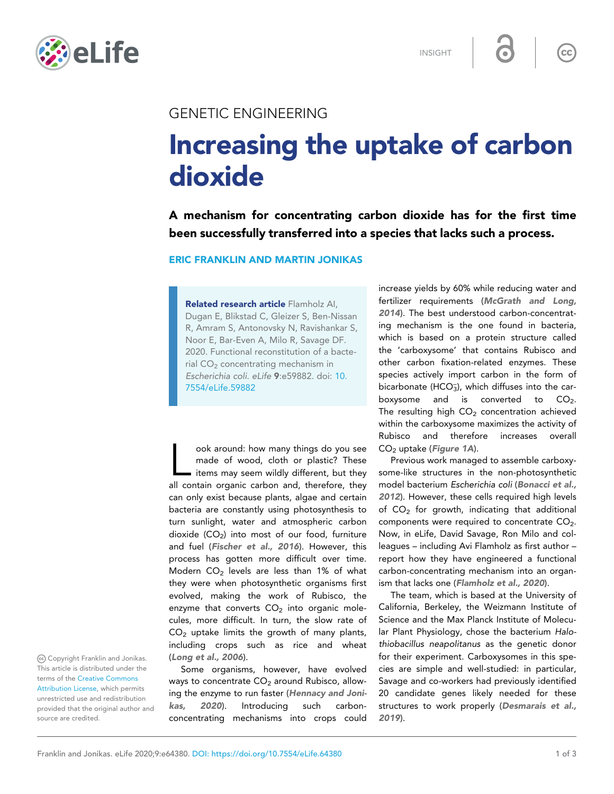

INSIGHT

 $\overline{\mathsf{cc}}$ 

## GENETIC ENGINEERING

## Increasing the uptake of carbon dioxide

A mechanism for concentrating carbon dioxide has for the first time been successfully transferred into a species that lacks such a process.

ERIC FRANKLIN AND MARTIN JONIKAS

Related research article Flamholz AI, Dugan E, Blikstad C, Gleizer S, Ben-Nissan R, Amram S, Antonovsky N, Ravishankar S, Noor E, Bar-Even A, Milo R, Savage DF. 2020. Functional reconstitution of a bacterial CO<sub>2</sub> concentrating mechanism in Escherichia coli. eLife 9:e59882. doi: [10.](http://doi.org/10.7554/eLife.59882) [7554/eLife.59882](http://doi.org/10.7554/eLife.59882)

ook around: how many things do you see<br>made of wood, cloth or plastic? These<br>items may seem wildly different, but they<br>all contain organic carbon and, therefore, they ook around: how many things do you see made of wood, cloth or plastic? These tems may seem wildly different, but they can only exist because plants, algae and certain bacteria are constantly using photosynthesis to turn sunlight, water and atmospheric carbon dioxide  $(CO_2)$  into most of our food, furniture and fuel ([Fischer et al., 2016](#page-2-0)). However, this process has gotten more difficult over time. Modern  $CO<sub>2</sub>$  levels are less than 1% of what they were when photosynthetic organisms first evolved, making the work of Rubisco, the enzyme that converts  $CO<sub>2</sub>$  into organic molecules, more difficult. In turn, the slow rate of  $CO<sub>2</sub>$  uptake limits the growth of many plants, including crops such as rice and wheat ([Long et al., 2006](#page-2-0)).

Some organisms, however, have evolved ways to concentrate  $CO<sub>2</sub>$  around Rubisco, allowing the enzyme to run faster ([Hennacy and Joni](#page-2-0)[kas, 2020](#page-2-0)). Introducing such carbonconcentrating mechanisms into crops could

increase yields by 60% while reducing water and fertilizer requirements ([McGrath and Long,](#page-2-0) [2014](#page-2-0)). The best understood carbon-concentrating mechanism is the one found in bacteria, which is based on a protein structure called the 'carboxysome' that contains Rubisco and other carbon fixation-related enzymes. These species actively import carbon in the form of bicarbonate (HCO $_3$ ), which diffuses into the carboxysome and is converted to  $CO<sub>2</sub>$ . The resulting high  $CO<sub>2</sub>$  concentration achieved within the carboxysome maximizes the activity of Rubisco and therefore increases overall  $CO<sub>2</sub>$  uptake ([Figure 1A](#page-1-0)).

Previous work managed to assemble carboxysome-like structures in the non-photosynthetic model bacterium Escherichia coli ([Bonacci et al.,](#page-1-0) [2012](#page-1-0)). However, these cells required high levels of  $CO<sub>2</sub>$  for growth, indicating that additional components were required to concentrate  $CO<sub>2</sub>$ . Now, in eLife, David Savage, Ron Milo and colleagues – including Avi Flamholz as first author – report how they have engineered a functional carbon-concentrating mechanism into an organism that lacks one ([Flamholz et al., 2020](#page-2-0)).

The team, which is based at the University of California, Berkeley, the Weizmann Institute of Science and the Max Planck Institute of Molecular Plant Physiology, chose the bacterium Halothiobacillus neapolitanus as the genetic donor for their experiment. Carboxysomes in this species are simple and well-studied: in particular, Savage and co-workers had previously identified 20 candidate genes likely needed for these structures to work properly ([Desmarais et al.,](#page-2-0) [2019](#page-2-0)).

Copyright Franklin and Jonikas. This article is distributed under the terms of the [Creative Commons](http://creativecommons.org/licenses/by/4.0/) [Attribution License](http://creativecommons.org/licenses/by/4.0/), which permits unrestricted use and redistribution provided that the original author and source are credited.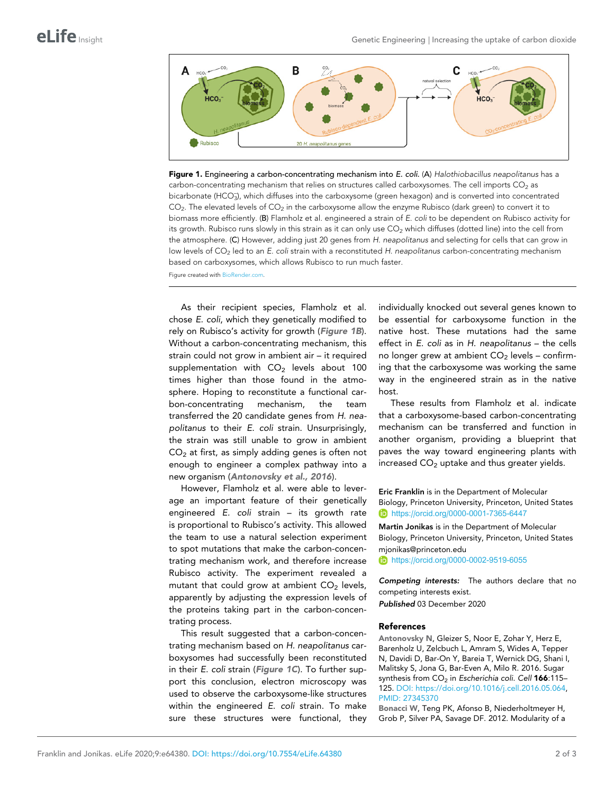<span id="page-1-0"></span>

Figure 1. Engineering a carbon-concentrating mechanism into E. coli. (A) Halothiobacillus neapolitanus has a carbon-concentrating mechanism that relies on structures called carboxysomes. The cell imports  $CO<sub>2</sub>$  as bicarbonate (HCO<sub>3</sub>), which diffuses into the carboxysome (green hexagon) and is converted into concentrated CO<sub>2</sub>. The elevated levels of CO<sub>2</sub> in the carboxysome allow the enzyme Rubisco (dark green) to convert it to biomass more efficiently. (B) Flamholz et al. engineered a strain of E. coli to be dependent on Rubisco activity for its growth. Rubisco runs slowly in this strain as it can only use  $CO<sub>2</sub>$  which diffuses (dotted line) into the cell from the atmosphere. (C) However, adding just 20 genes from H. neapolitanus and selecting for cells that can grow in low levels of CO<sub>2</sub> led to an E. coli strain with a reconstituted H. neapolitanus carbon-concentrating mechanism based on carboxysomes, which allows Rubisco to run much faster.

Figure created with [BioRender.com.](https://biorender.com/)

As their recipient species, Flamholz et al. chose E. coli, which they genetically modified to rely on Rubisco's activity for growth (Figure 1B). Without a carbon-concentrating mechanism, this strain could not grow in ambient air – it required supplementation with  $CO<sub>2</sub>$  levels about 100 times higher than those found in the atmosphere. Hoping to reconstitute a functional carbon-concentrating mechanism, the team transferred the 20 candidate genes from H. neapolitanus to their E. coli strain. Unsurprisingly, the strain was still unable to grow in ambient  $CO<sub>2</sub>$  at first, as simply adding genes is often not enough to engineer a complex pathway into a new organism (Antonovsky et al., 2016).

However, Flamholz et al. were able to leverage an important feature of their genetically engineered E. coli strain – its growth rate is proportional to Rubisco's activity. This allowed the team to use a natural selection experiment to spot mutations that make the carbon-concentrating mechanism work, and therefore increase Rubisco activity. The experiment revealed a mutant that could grow at ambient  $CO<sub>2</sub>$  levels, apparently by adjusting the expression levels of the proteins taking part in the carbon-concentrating process.

This result suggested that a carbon-concentrating mechanism based on H. neapolitanus carboxysomes had successfully been reconstituted in their E. coli strain (Figure 1C). To further support this conclusion, electron microscopy was used to observe the carboxysome-like structures within the engineered E. coli strain. To make sure these structures were functional, they

individually knocked out several genes known to be essential for carboxysome function in the native host. These mutations had the same effect in E. coli as in H. neapolitanus – the cells no longer grew at ambient  $CO<sub>2</sub>$  levels – confirming that the carboxysome was working the same way in the engineered strain as in the native host.

These results from Flamholz et al. indicate that a carboxysome-based carbon-concentrating mechanism can be transferred and function in another organism, providing a blueprint that paves the way toward engineering plants with increased  $CO<sub>2</sub>$  uptake and thus greater yields.

Eric Franklin is in the Department of Molecular Biology, Princeton University, Princeton, United States <https://orcid.org/0000-0001-7365-6447>

Martin Jonikas is in the Department of Molecular Biology, Princeton University, Princeton, United States mjonikas@princeton.edu

**b** <https://orcid.org/0000-0002-9519-6055>

Competing interests: The authors declare that no competing interests exist.

Published 03 December 2020

## References

Antonovsky N, Gleizer S, Noor E, Zohar Y, Herz E, Barenholz U, Zelcbuch L, Amram S, Wides A, Tepper N, Davidi D, Bar-On Y, Bareia T, Wernick DG, Shani I, Malitsky S, Jona G, Bar-Even A, Milo R. 2016. Sugar synthesis from CO<sub>2</sub> in Escherichia coli. Cell 166:115-125. DOI:<https://doi.org/10.1016/j.cell.2016.05.064>, PMID: [27345370](http://www.ncbi.nlm.nih.gov/pubmed/27345370)

Bonacci W, Teng PK, Afonso B, Niederholtmeyer H, Grob P, Silver PA, Savage DF. 2012. Modularity of a